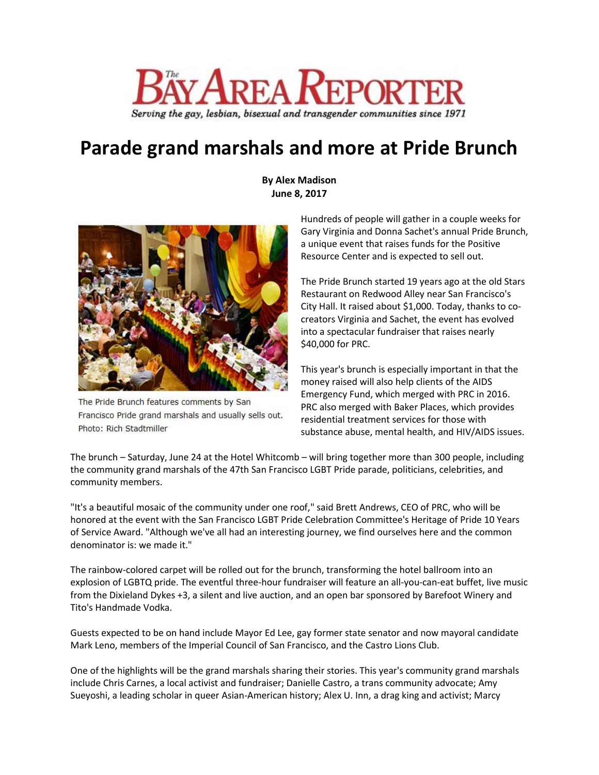

## **Parade grand marshals and more at Pride Brunch**

**By Alex Madison June 8, 2017**



The Pride Brunch features comments by San Francisco Pride grand marshals and usually sells out. Photo: Rich Stadtmiller

Hundreds of people will gather in a couple weeks for Gary Virginia and Donna Sachet's annual Pride Brunch, a unique event that raises funds for the Positive Resource Center and is expected to sell out.

The Pride Brunch started 19 years ago at the old Stars Restaurant on Redwood Alley near San Francisco's City Hall. It raised about \$1,000. Today, thanks to cocreators Virginia and Sachet, the event has evolved into a spectacular fundraiser that raises nearly \$40,000 for PRC.

This year's brunch is especially important in that the money raised will also help clients of the AIDS Emergency Fund, which merged with PRC in 2016. PRC also merged with Baker Places, which provides residential treatment services for those with substance abuse, mental health, and HIV/AIDS issues.

The brunch – Saturday, June 24 at the Hotel Whitcomb – will bring together more than 300 people, including the community grand marshals of the 47th San Francisco LGBT Pride parade, politicians, celebrities, and community members.

"It's a beautiful mosaic of the community under one roof," said Brett Andrews, CEO of PRC, who will be honored at the event with the San Francisco LGBT Pride Celebration Committee's Heritage of Pride 10 Years of Service Award. "Although we've all had an interesting journey, we find ourselves here and the common denominator is: we made it."

The rainbow-colored carpet will be rolled out for the brunch, transforming the hotel ballroom into an explosion of LGBTQ pride. The eventful three-hour fundraiser will feature an all-you-can-eat buffet, live music from the Dixieland Dykes +3, a silent and live auction, and an open bar sponsored by Barefoot Winery and Tito's Handmade Vodka.

Guests expected to be on hand include Mayor Ed Lee, gay former state senator and now mayoral candidate Mark Leno, members of the Imperial Council of San Francisco, and the Castro Lions Club.

One of the highlights will be the grand marshals sharing their stories. This year's community grand marshals include Chris Carnes, a local activist and fundraiser; Danielle Castro, a trans community advocate; Amy Sueyoshi, a leading scholar in queer Asian-American history; Alex U. Inn, a drag king and activist; Marcy